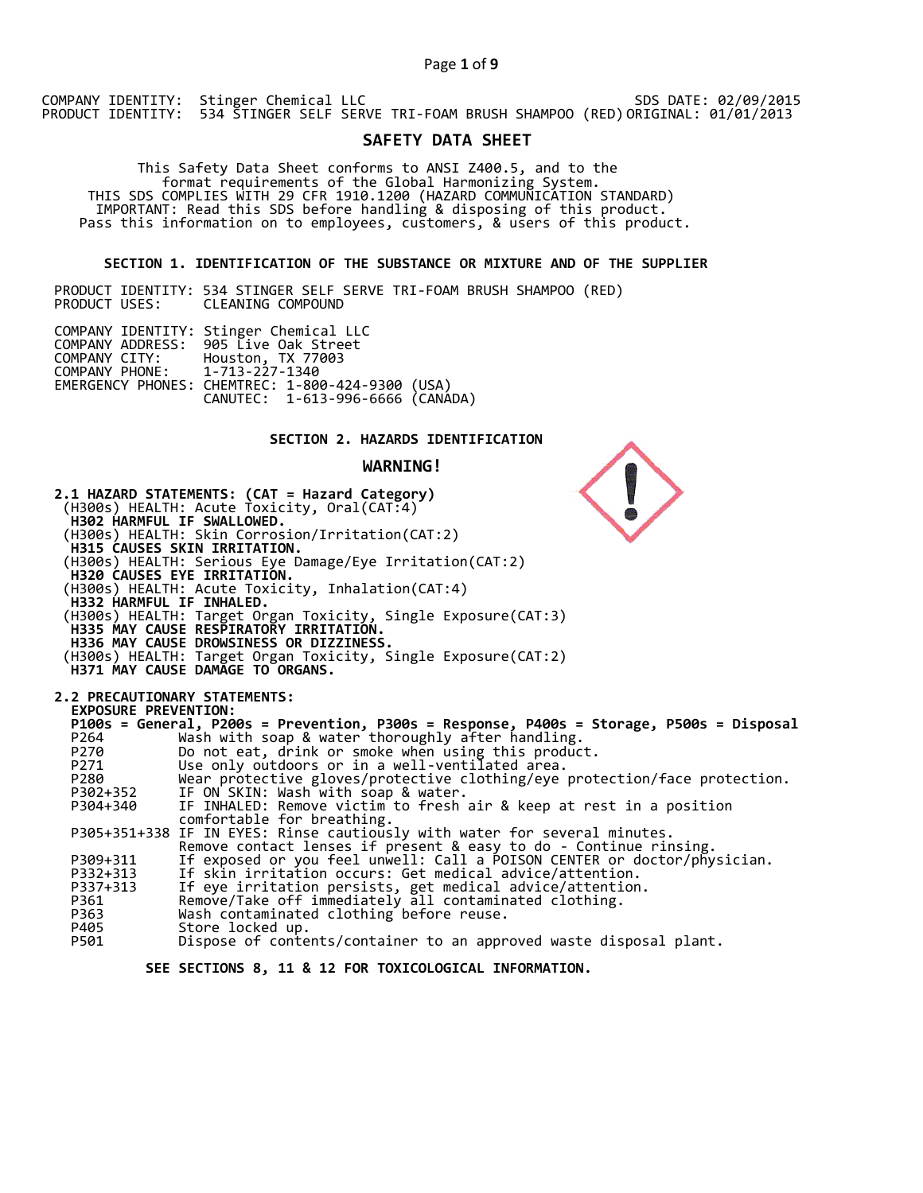# Page **1** of **9**

COMPANY IDENTITY: Stinger Chemical LLC PRODUCT IDENTITY: 534 STINGER SELF SERVE TRI-FOAM BRUSH SHAMPOO (RED) SDS DATE: 02/09/2015 ORIGINAL: 01/01/2013

# **SAFETY DATA SHEET**

 This Safety Data Sheet conforms to ANSI Z400.5, and to the format requirements of the Global Harmonizing System. THIS SDS COMPLIES WITH 29 CFR 1910.1200 (HAZARD COMMUNICATION STANDARD) IMPORTANT: Read this SDS before handling & disposing of this product. Pass this information on to employees, customers, & users of this product.

# **SECTION 1. IDENTIFICATION OF THE SUBSTANCE OR MIXTURE AND OF THE SUPPLIER**

PRODUCT IDENTITY: 534 STINGER SELF SERVE TRI-FOAM BRUSH SHAMPOO (RED) CLEANING COMPOUND

| COMPANY IDENTITY: Stinger Chemical LLC<br>COMPANY ADDRESS: 905 Live Oak Street<br>COMPANY CITY: Houston, TX 77003<br>COMPANY PHONE: 1-713-227-1340<br>EMERGENCY PHONES: CHEMTREC: 1-800-424-9300 (USA)<br>CANUTEC: 1-613-996-6666 (CANADA) |
|--------------------------------------------------------------------------------------------------------------------------------------------------------------------------------------------------------------------------------------------|

# **SECTION 2. HAZARDS IDENTIFICATION**

## **WARNING!**



 **SEE SECTIONS 8, 11 & 12 FOR TOXICOLOGICAL INFORMATION.**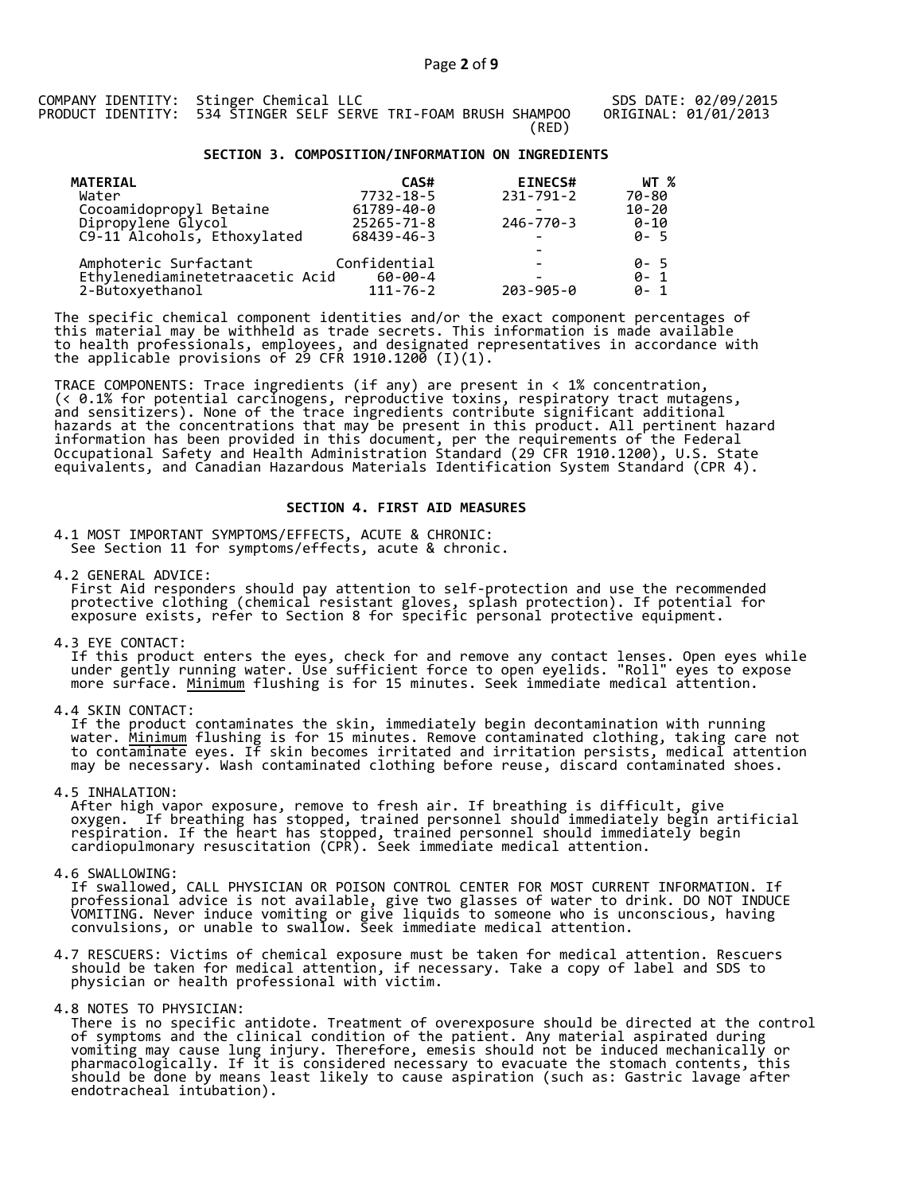SDS DATE: 02/09/2015 ORIGINAL: 01/01/2013

# **SECTION 3. COMPOSITION/INFORMATION ON INGREDIENTS**

| <b>MATERIAL</b>                 | CAS#             | <b>EINECS#</b>  | WT %      |
|---------------------------------|------------------|-----------------|-----------|
| Water                           | 7732-18-5        | 231-791-2       | 70-80     |
| Cocoamidopropyl Betaine         | 61789-40-0       |                 | $10 - 20$ |
| Dipropylene Glycol              | $25265 - 71 - 8$ | $246 - 770 - 3$ | $0 - 10$  |
| C9-11 Alcohols, Ethoxylated     | 68439-46-3       |                 | $0 - 5$   |
|                                 |                  |                 |           |
| Amphoteric Surfactant           | Confidential     |                 | 0-5       |
| Ethylenediaminetetraacetic Acid | $60 - 00 - 4$    |                 | $0 - 1$   |
| 2-Butoxyethanol                 | $111 - 76 - 2$   | $203 - 905 - 0$ | $0 - 1$   |

The specific chemical component identities and/or the exact component percentages of this material may be withheld as trade secrets. This information is made available to health professionals, employees, and designated representatives in accordance with the applicable provisions of 29 CFR 1910.1200̄ (I)(1).  $\overline{\phantom{a}}$ 

TRACE COMPONENTS: Trace ingredients (if any) are present in < 1% concentration, (< 0.1% for potential carcinogens, reproductive toxins, respiratory tract mutagens, and sensitizers). None of the trace ingredients contribute significant additional hazards at the concentrations that may be present in this product. All pertinent hazard information has been provided in this document, per the requirements of the Federal Occupational Safety and Health Administration Standard (29 CFR 1910.1200), U.S. State equivalents, and Canadian Hazardous Materials Identification System Standard (CPR 4).

# **SECTION 4. FIRST AID MEASURES**

4.1 MOST IMPORTANT SYMPTOMS/EFFECTS, ACUTE & CHRONIC: See Section 11 for symptoms/effects, acute & chronic.

4.2 GENERAL ADVICE: First Aid responders should pay attention to self-protection and use the recommended protective clothing (chemical resistant gloves, splash protection). If potential for exposure exists, refer to Section 8 for specific personal protective equipment.

4.3 EYE CONTACT:

 If this product enters the eyes, check for and remove any contact lenses. Open eyes while under gently running water. Use sufficient force to open eyelids. "Roll" eyes to expose more surface. <u>Minimum</u> flushing is for 15 minutes. Seek immediate medical attention.

4.4 SKIN CONTACT:

 If the product contaminates the skin, immediately begin decontamination with running water. <u>Minimum</u> flushing is for 15 minutes. Remove contaminated clothing, taking care not to contaminate eyes. If skin becomes irritated and irritation persists, medical attention may be necessary. Wash contaminated clothing before reuse, discard contaminated shoes.

4.5 INHALATION:

 After high vapor exposure, remove to fresh air. If breathing is difficult, give oxygen. If breathing has stopped, trained personnel should immediately begin artificial respiration. If the heart has stopped, trained personnel should immediately begin cardiopulmonary resuscitation (CPR). Seek immediate medical attention.

4.6 SWALLOWING:

 If swallowed, CALL PHYSICIAN OR POISON CONTROL CENTER FOR MOST CURRENT INFORMATION. If professional advice is not available, give two glasses of water to drink. DO NOT INDUCE VOMITING. Never induce vomiting or give liquids to someone who is unconscious, having convulsions, or unable to swallow. Seek immediate medical attention.

4.7 RESCUERS: Victims of chemical exposure must be taken for medical attention. Rescuers should be taken for medical attention, if necessary. Take a copy of label and SDS to physician or health professional with victim.

4.8 NOTES TO PHYSICIAN:

 There is no specific antidote. Treatment of overexposure should be directed at the control of symptoms and the clinical condition of the patient. Any material aspirated during vomiting may cause lung injury. Therefore, emesis should not be induced mechanically or pharmacologically. If it is considered necessary to evacuate the stomach contents, this should be done by means least likely to cause aspiration (such as: Gastric lavage after endotracheal intubation).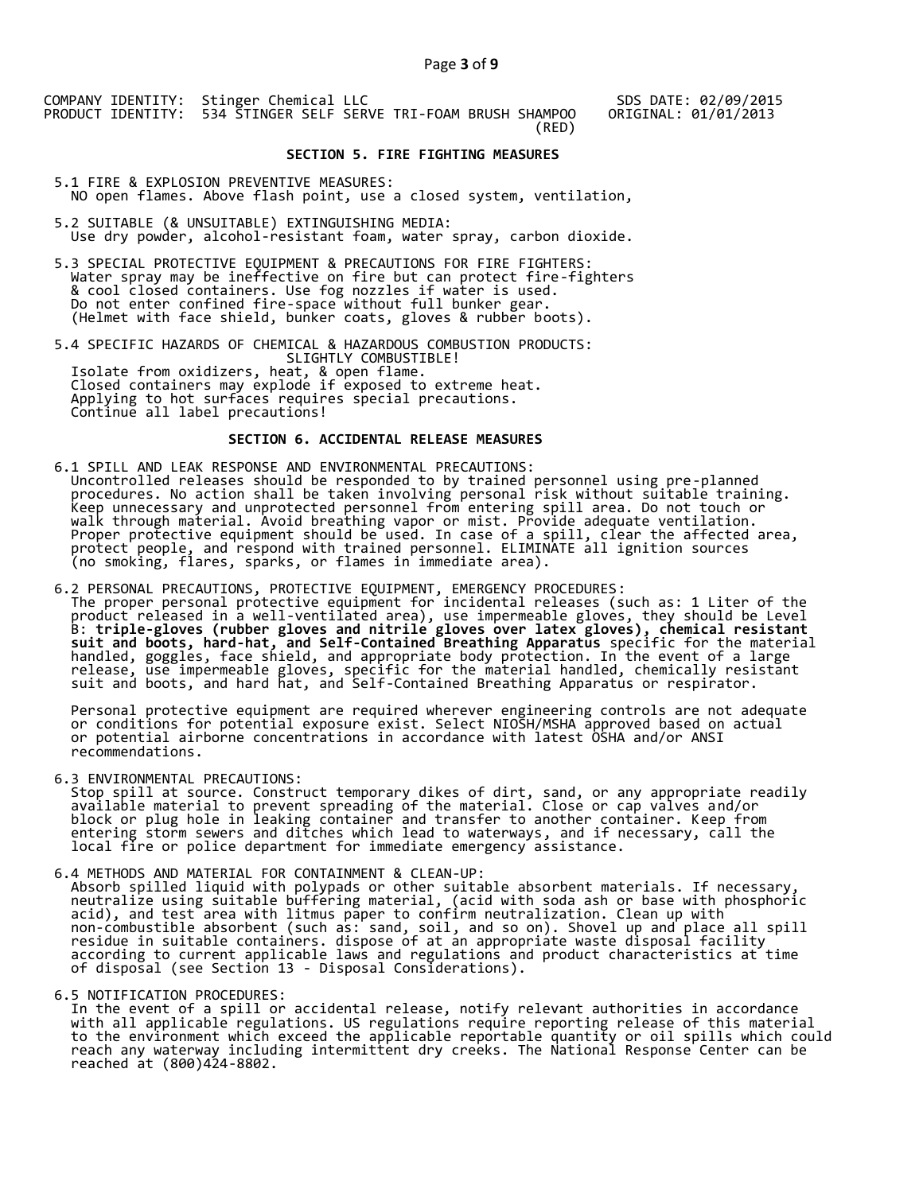SDS DATE: 02/09/2015 ORIGINAL: 01/01/2013

## **SECTION 5. FIRE FIGHTING MEASURES**

5.1 FIRE & EXPLOSION PREVENTIVE MEASURES: NO open flames. Above flash point, use a closed system, ventilation,

- 5.2 SUITABLE (& UNSUITABLE) EXTINGUISHING MEDIA: Use dry powder, alcohol-resistant foam, water spray, carbon dioxide.
- 5.3 SPECIAL PROTECTIVE EQUIPMENT & PRECAUTIONS FOR FIRE FIGHTERS: Water spray may be ineffective on fire but can protect fire-fighters & cool closed containers. Use fog nozzles if water is used. Do not enter confined fire-space without full bunker gear. (Helmet with face shield, bunker coats, gloves & rubber boots).

5.4 SPECIFIC HAZARDS OF CHEMICAL & HAZARDOUS COMBUSTION PRODUCTS: SLIGHTLY COMBUSTIBLE! Isolate from oxidizers, heat, & open flame. Closed containers may explode if exposed to extreme heat. Applying to hot surfaces requires special precautions. Continue all label precautions!

# **SECTION 6. ACCIDENTAL RELEASE MEASURES**

- 6.1 SPILL AND LEAK RESPONSE AND ENVIRONMENTAL PRECAUTIONS: Uncontrolled releases should be responded to by trained personnel using pre-planned procedures. No action shall be taken involving personal risk without suitable training. Keep unnecessary and unprotected personnel from entering spill area. Do not touch or walk through material. Avoid breathing vapor or mist. Provide adequate ventilation. Proper protective equipment should be used. In case of a spill, clear the affected area, protect people, and respond with trained personnel. ELIMINATE all ignition sources (no smoking, flares, sparks, or flames in immediate area).
- 6.2 PERSONAL PRECAUTIONS, PROTECTIVE EQUIPMENT, EMERGENCY PROCEDURES: The proper personal protective equipment for incidental releases (such as: 1 Liter of the product released in a well-ventilated area), use impermeable gloves, they should be Level B: **triple-gloves (rubber gloves and nitrile gloves over latex gloves), chemical resistant suit and boots, hard-hat, and Self-Contained Breathing Apparatus** specific for the material handled, goggles, face shield, and appropriate body protection. In the event of a large release, use impermeable gloves, specific for the material handled, chemically resistant suit and boots, and hard hat, and Self-Contained Breathing Apparatus or respirator.

 Personal protective equipment are required wherever engineering controls are not adequate or conditions for potential exposure exist. Select NIOSH/MSHA approved based on actual or potential airborne concentrations in accordance with latest OSHA and/or ANSI recommendations.

6.3 ENVIRONMENTAL PRECAUTIONS:

 Stop spill at source. Construct temporary dikes of dirt, sand, or any appropriate readily available material to prevent spreading of the material. Close or cap valves and/or block or plug hole in leaking container and transfer to another container. Keep from entering storm sewers and ditches which lead to waterways, and if necessary, call the local fire or police department for immediate emergency assistance.

6.4 METHODS AND MATERIAL FOR CONTAINMENT & CLEAN-UP: Absorb spilled liquid with polypads or other suitable absorbent materials. If necessary, neutralize using suitable buffering material, (acid with soda ash or base with phosphoric acid), and test area with litmus paper to confirm neutralization. Clean up with non-combustible absorbent (such as: sand, soil, and so on). Shovel up and place all spill residue in suitable containers. dispose of at an appropriate waste disposal facility according to current applicable laws and regulations and product characteristics at time of disposal (see Section 13 - Disposal Considerations).

6.5 NOTIFICATION PROCEDURES:

 In the event of a spill or accidental release, notify relevant authorities in accordance with all applicable regulations. US regulations require reporting release of this material to the environment which exceed the applicable reportable quantity or oil spills which could reach any waterway including intermittent dry creeks. The National Response Center can be reached at (800)424-8802.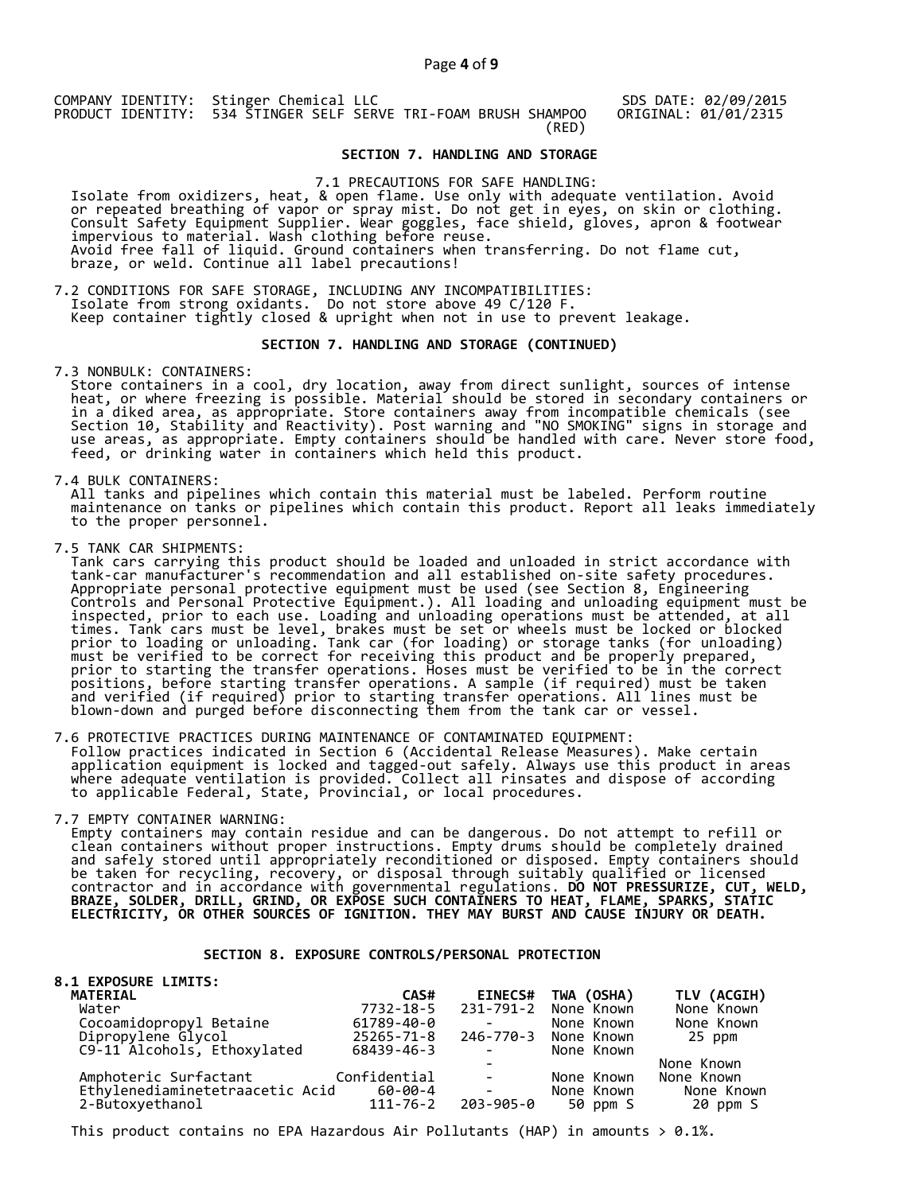SDS DATE: 02/09/2015 ORIGINAL: 01/01/2315

# **SECTION 7. HANDLING AND STORAGE**

7.1 PRECAUTIONS FOR SAFE HANDLING: Isolate from oxidizers, heat, & open flame. Use only with adequate ventilation. Avoid or repeated breathing of vapor or spray mist. Do not get in eyes, on skin or clothing. Consult Safety Equipment Supplier. Wear goggles, face shield, gloves, apron & footwear impervious to material. Wash clothing before reuse. Avoid free fall of liquid. Ground containers when transferring. Do not flame cut, braze, or weld. Continue all label precautions!

7.2 CONDITIONS FOR SAFE STORAGE, INCLUDING ANY INCOMPATIBILITIES:<br>Isolate from strong oxidants. Do not store above 49 C/120 F. Isolate from strong oxidants. Do not store above 49 C/120 F. Keep container tightly closed & upright when not in use to prevent leakage.

#### **SECTION 7. HANDLING AND STORAGE (CONTINUED)**

7.3 NONBULK: CONTAINERS:

 Store containers in a cool, dry location, away from direct sunlight, sources of intense heat, or where freezing is possible. Material should be stored in secondary containers or in a diked area, as appropriate. Store containers away from incompatible chemicals (see Section 10, Stability and Reactivity). Post warning and "NO SMOKING" signs in storage and use areas, as appropriate. Empty containers should be handled with care. Never store food, feed, or drinking water in containers which held this product.

7.4 BULK CONTAINERS:

 All tanks and pipelines which contain this material must be labeled. Perform routine maintenance on tanks or pipelines which contain this product. Report all leaks immediately to the proper personnel.

7.5 TANK CAR SHIPMENTS:

 Tank cars carrying this product should be loaded and unloaded in strict accordance with tank-car manufacturer's recommendation and all established on-site safety procedures. Appropriate personal protective equipment must be used (see Section 8, Engineering Controls and Personal Protective Equipment.). All loading and unloading equipment must be inspected, prior to each use. Loading and unloading operations must be attended, at all times. Tank cars must be level, brakes must be set or wheels must be locked or blocked prior to loading or unloading. Tank car (for loading) or storage tanks (for unloading) must be verified to be correct for receiving this product and be properly prepared, prior to starting the transfer operations. Hoses must be verified to be in the correct positions, before starting transfer operations. A sample (if required) must be taken and verified (if required) prior to starting transfer operations. All lines must be blown-down and purged before disconnecting them from the tank car or vessel.

7.6 PROTECTIVE PRACTICES DURING MAINTENANCE OF CONTAMINATED EQUIPMENT: Follow practices indicated in Section 6 (Accidental Release Measures). Make certain application equipment is locked and tagged-out safely. Always use this product in areas where adequate ventilation is provided. Collect all rinsates and dispose of according to applicable Federal, State, Provincial, or local procedures.

7.7 EMPTY CONTAINER WARNING:

 Empty containers may contain residue and can be dangerous. Do not attempt to refill or clean containers without proper instructions. Empty drums should be completely drained and safely stored until appropriately reconditioned or disposed. Empty containers should be taken for recycling, recovery, or disposal through suitably qualified or licensed contractor and in accordance with governmental regulations. **DO NOT PRESSURIZE, CUT, WELD, BRAZE, SOLDER, DRILL, GRIND, OR EXPOSE SUCH CONTAINERS TO HEAT, FLAME, SPARKS, STATIC ELECTRICITY, OR OTHER SOURCES OF IGNITION. THEY MAY BURST AND CAUSE INJURY OR DEATH.**

# **SECTION 8. EXPOSURE CONTROLS/PERSONAL PROTECTION**

| <b>8.1 EXPOSURE LIMITS:</b>        |                |                                                                                                                                                                                                                                                                                                                                                                                                                                                           |                      |             |
|------------------------------------|----------------|-----------------------------------------------------------------------------------------------------------------------------------------------------------------------------------------------------------------------------------------------------------------------------------------------------------------------------------------------------------------------------------------------------------------------------------------------------------|----------------------|-------------|
| MATERIAL                           | CAS#           | <b>EINECS#</b>                                                                                                                                                                                                                                                                                                                                                                                                                                            | TWA (OSHA)           | TLV (ACGIH) |
| Water                              | 7732-18-5      |                                                                                                                                                                                                                                                                                                                                                                                                                                                           | 231-791-2 None Known | None Known  |
| Cocoamidopropyl Betaine            | 61789-40-0     |                                                                                                                                                                                                                                                                                                                                                                                                                                                           | None Known           | None Known  |
| Dipropylene Glycol                 | 25265-71-8     |                                                                                                                                                                                                                                                                                                                                                                                                                                                           | 246-770-3 None Known | 25 ppm      |
| C9-11 Alcohols, Ethoxylated        | 68439-46-3     | $\sim$                                                                                                                                                                                                                                                                                                                                                                                                                                                    | None Known           |             |
|                                    |                |                                                                                                                                                                                                                                                                                                                                                                                                                                                           |                      | None Known  |
| Amphoteric Surfactant Confidential |                | <b>Contract Contract</b>                                                                                                                                                                                                                                                                                                                                                                                                                                  | None Known           | None Known  |
| Ethylenediaminetetraacetic Acid    | 60-00-4        | $\mathcal{L}^{\mathcal{L}}(\mathcal{L}^{\mathcal{L}}(\mathcal{L}^{\mathcal{L}}(\mathcal{L}^{\mathcal{L}}(\mathcal{L}^{\mathcal{L}}(\mathcal{L}^{\mathcal{L}}(\mathcal{L}^{\mathcal{L}}(\mathcal{L}^{\mathcal{L}}(\mathcal{L}^{\mathcal{L}}(\mathcal{L}^{\mathcal{L}}(\mathcal{L}^{\mathcal{L}}(\mathcal{L}^{\mathcal{L}}(\mathcal{L}^{\mathcal{L}}(\mathcal{L}^{\mathcal{L}}(\mathcal{L}^{\mathcal{L}}(\mathcal{L}^{\mathcal{L}}(\mathcal{L}^{\mathcal{L$ | None Known           | None Known  |
| 2-Butoxyethanol                    | $111 - 76 - 2$ | 203-905-0                                                                                                                                                                                                                                                                                                                                                                                                                                                 | 50 ppm S             | 20 ppm S    |

This product contains no EPA Hazardous Air Pollutants (HAP) in amounts  $> 0.1\%$ .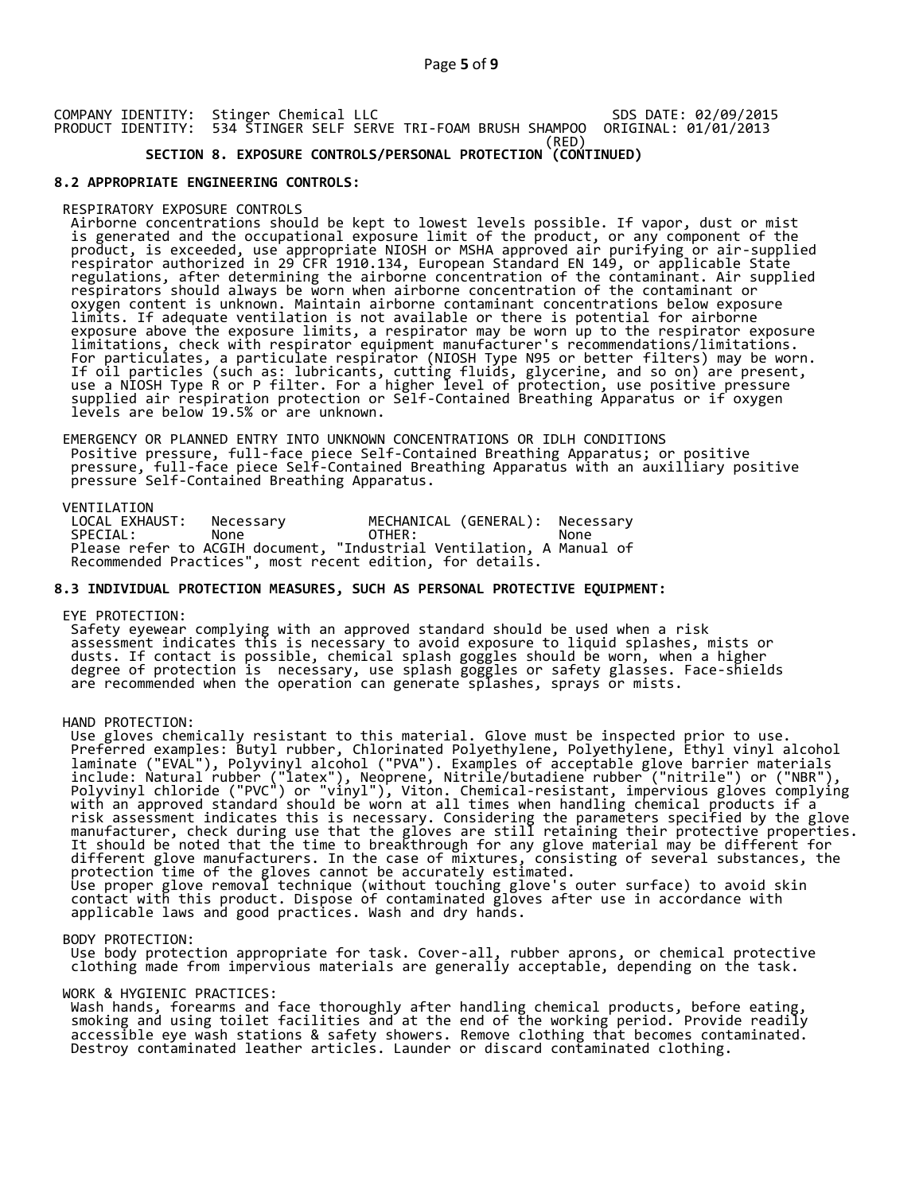COMPANY IDENTITY: Stinger Chemical LLC PRODUCT IDENTITY: 534 STINGER SELF SERVE TRI-FOAM BRUSH SHAMPOO (RED) SDS DATE: 02/09/2015 ORIGINAL: 01/01/2013

# **SECTION 8. EXPOSURE CONTROLS/PERSONAL PROTECTION (CONTINUED)**

# **8.2 APPROPRIATE ENGINEERING CONTROLS:**

## RESPIRATORY EXPOSURE CONTROLS

 Airborne concentrations should be kept to lowest levels possible. If vapor, dust or mist is generated and the occupational exposure limit of the product, or any component of the product, is exceeded, use appropriate NIOSH or MSHA approved air purifying or air-supplied respirator authorized in 29 CFR 1910.134, European Standard EN 149, or applicable State regulations, after determining the airborne concentration of the contaminant. Air supplied respirators should always be worn when airborne concentration of the contaminant or oxygen content is unknown. Maintain airborne contaminant concentrations below exposure limits. If adequate ventilation is not available or there is potential for airborne exposure above the exposure limits, a respirator may be worn up to the respirator exposure limitations, check with respirator equipment manufacturer's recommendations/limitations. For particulates, a particulate respirator (NIOSH Type N95 or better filters) may be worn. If oil particles (such as: lubricants, cutting fluids, glycerine, and so on) are present, use a NIOSH Type R or P filter. For a higher level of protection, use positive pressure supplied air respiration protection or Self-Contained Breathing Apparatus or if oxygen levels are below 19.5% or are unknown.

 EMERGENCY OR PLANNED ENTRY INTO UNKNOWN CONCENTRATIONS OR IDLH CONDITIONS Positive pressure, full-face piece Self-Contained Breathing Apparatus; or positive pressure, full-face piece Self-Contained Breathing Apparatus with an auxilliary positive pressure Self-Contained Breathing Apparatus.

VENTILATION<br>LOCAL EXHAUST: LOCAL EXHAUST: Necessary MECHANICAL (GENERAL): Necessary SPECIAL: None OTHER: None Please refer to ACGIH document, "Industrial Ventilation, A Manual of Recommended Practices", most recent edition, for details.

# **8.3 INDIVIDUAL PROTECTION MEASURES, SUCH AS PERSONAL PROTECTIVE EQUIPMENT:**

#### EYE PROTECTION:

 Safety eyewear complying with an approved standard should be used when a risk assessment indicates this is necessary to avoid exposure to liquid splashes, mists or dusts. If contact is possible, chemical splash goggles should be worn, when a higher degree of protection is necessary, use splash goggles or safety glasses. Face-shields are recommended when the operation can generate splashes, sprays or mists.

#### HAND PROTECTION:

 Use gloves chemically resistant to this material. Glove must be inspected prior to use. Preferred examples: Butyl rubber, Chlorinated Polyethylene, Polyethylene, Ethyl vinyl alcohol laminate ("EVAL"), Polyvinyl alcohol ("PVA"). Examples of acceptable glove barrier materials include: Natural rubber ("latex"), Neoprene, Nitrile/butadiene rubber ("nitrile") or ("NBR"), Polyvinyl chloride ("PVC") or "vinyl"), Viton. Chemical-resistant, impervious gloves complying with an approved standard should be worn at all times when handling chemical products if a risk assessment indicates this is necessary. Considering the parameters specified by the glove manufacturer, check during use that the gloves are still retaining their protective properties. It should be noted that the time to breakthrough for any glove material may be different for different glove manufacturers. In the case of mixtures, consisting of several substances, the protection time of the gloves cannot be accurately estimated. Use proper glove removal technique (without touching glove's outer surface) to avoid skin contact with this product. Dispose of contaminated gloves after use in accordance with applicable laws and good practices. Wash and dry hands.

#### BODY PROTECTION:

 Use body protection appropriate for task. Cover-all, rubber aprons, or chemical protective clothing made from impervious materials are generally acceptable, depending on the task.

#### WORK & HYGIENIC PRACTICES:

 Wash hands, forearms and face thoroughly after handling chemical products, before eating, smoking and using toilet facilities and at the end of the working period. Provide readily accessible eye wash stations & safety showers. Remove clothing that becomes contaminated. Destroy contaminated leather articles. Launder or discard contaminated clothing.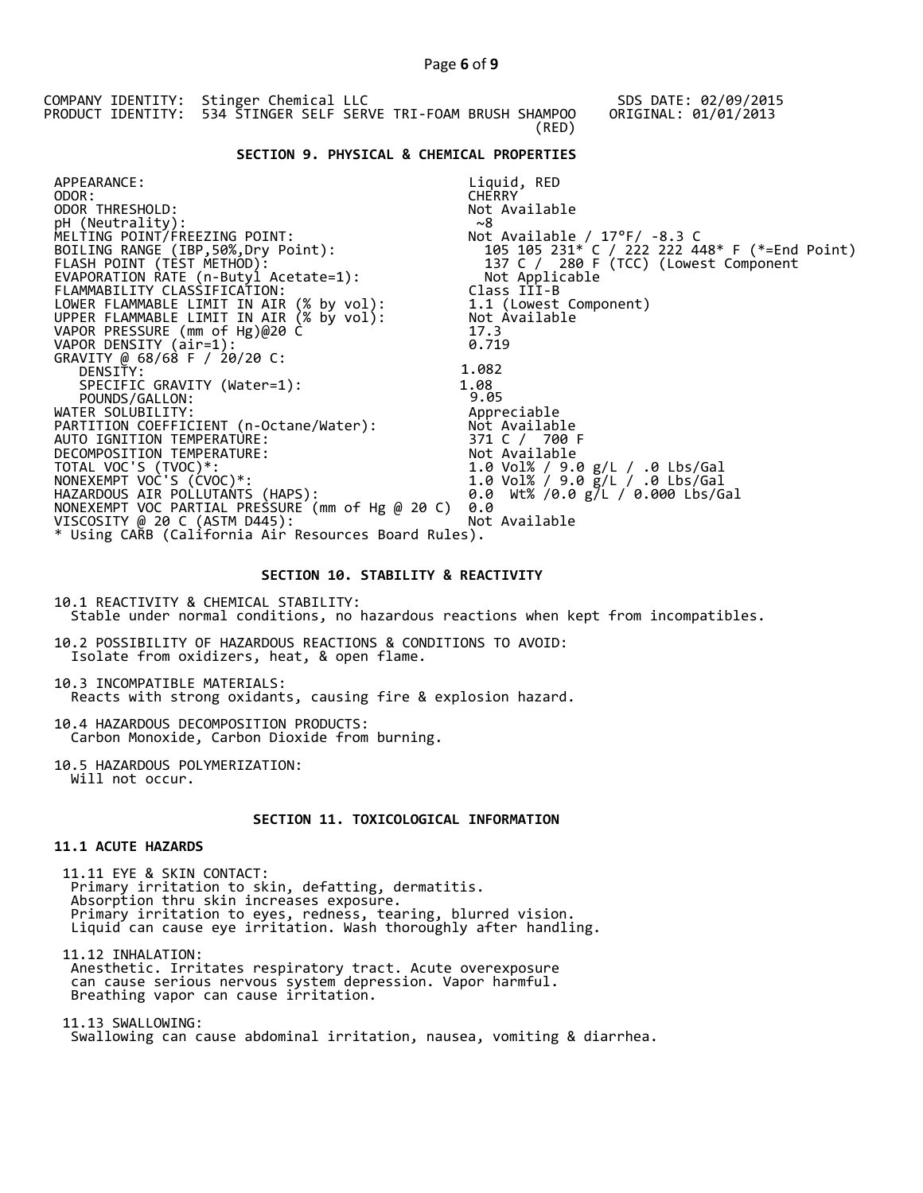COMPANY IDENTITY: Stinger Chemical LLC PRODUCT IDENTITY: 534 STINGER SELF SERVE TRI-FOAM BRUSH SHAMPOO (RED) SDS DATE: 02/09/2015 ORIGINAL: 01/01/2013  **SECTION 9. PHYSICAL & CHEMICAL PROPERTIES**  APPEARANCE: ODOR: ODOR THRESHOLD: pH (Neutrality): MELTING POINT/FREEZING POINT: BOILING RANGE (IBP,50%,Dry Point): FLASH POINT (TEST METHOD): EVAPORATION RATE (n-Butyl Acetate=1): FLAMMABILITY CLASSIFICATION: LOWER FLAMMABLE LIMIT IN AIR (% by vol): UPPER FLAMMABLE LIMIT IN AIR (% by vol): Liquid, RED **CHERRY** Not Available  $~^{\circ}$ 8 Not Available / 17°F/ -8.3 C 105 105 231\* C / 222 222 448\* F (\*=End Point) 137 C / 280 F (TCC) (Lowest Component Not Applicable Class III-B 1.1 (Lowest Component) Not Available VAPOR PRESSURE (mm of Hg)@20 C 17.3  $V$ APOR DENSITY  $air=1$ :  $0.719$ GRAVITY @ 68/68 F / 20/20 C: DENSITY: 1.082<br>
SPECIFIC GRAVITY (Water=1): 1.08<br>
POUNDS/GALLON: 9.05 SPECIFIC GRAVITY (Water=1): POUNDS/GALLON:  $\overline{9.05}$ <br>WATER SOLUBILITY:  $\overline{9.05}$ WATER SOLUBILITY: Appreciable PARTITION COEFFICIENT (n-Octane/Water): Not Available AUTO IGNITION TEMPERATURE: 371 C / 700 F DECOMPOSITION TEMPERATURE: Not Available TOTAL VOC'S (TVOC)\*: 1.0 Vol% / 9.0 g/L / .0 Lbs/Gal NONEXEMPT VOC'S (CVOC)\*: 1.0 Vol% / 9.0 g/L / .0 Lbs/Gal HAZARDOUS AIR POLLUTANTS (HAPS): 0.0 Wt% /0.0 g/L / 0.000 Lbs/Gal NONEXEMPT VOC PARTIAL PRESSURE (mm of Hg @ 20 C) 0.0 VISCOSITY @ 20 C (ASTM D445): Not Available \* Using CARB (California Air Resources Board Rules).

# **SECTION 10. STABILITY & REACTIVITY**

10.1 REACTIVITY & CHEMICAL STABILITY: Stable under normal conditions, no hazardous reactions when kept from incompatibles.

10.2 POSSIBILITY OF HAZARDOUS REACTIONS & CONDITIONS TO AVOID: Isolate from oxidizers, heat, & open flame.

10.3 INCOMPATIBLE MATERIALS: Reacts with strong oxidants, causing fire & explosion hazard.

10.4 HAZARDOUS DECOMPOSITION PRODUCTS: Carbon Monoxide, Carbon Dioxide from burning.

10.5 HAZARDOUS POLYMERIZATION: Will not occur.

# **SECTION 11. TOXICOLOGICAL INFORMATION**

# **11.1 ACUTE HAZARDS**

 11.11 EYE & SKIN CONTACT: Primary irritation to skin, defatting, dermatitis. Absorption thru skin increases exposure. Primary irritation to eyes, redness, tearing, blurred vision. Liquid can cause eye irritation. Wash thoroughly after handling.

 11.12 INHALATION: Anesthetic. Irritates respiratory tract. Acute overexposure can cause serious nervous system depression. Vapor harmful. Breathing vapor can cause irritation.

 11.13 SWALLOWING: Swallowing can cause abdominal irritation, nausea, vomiting & diarrhea.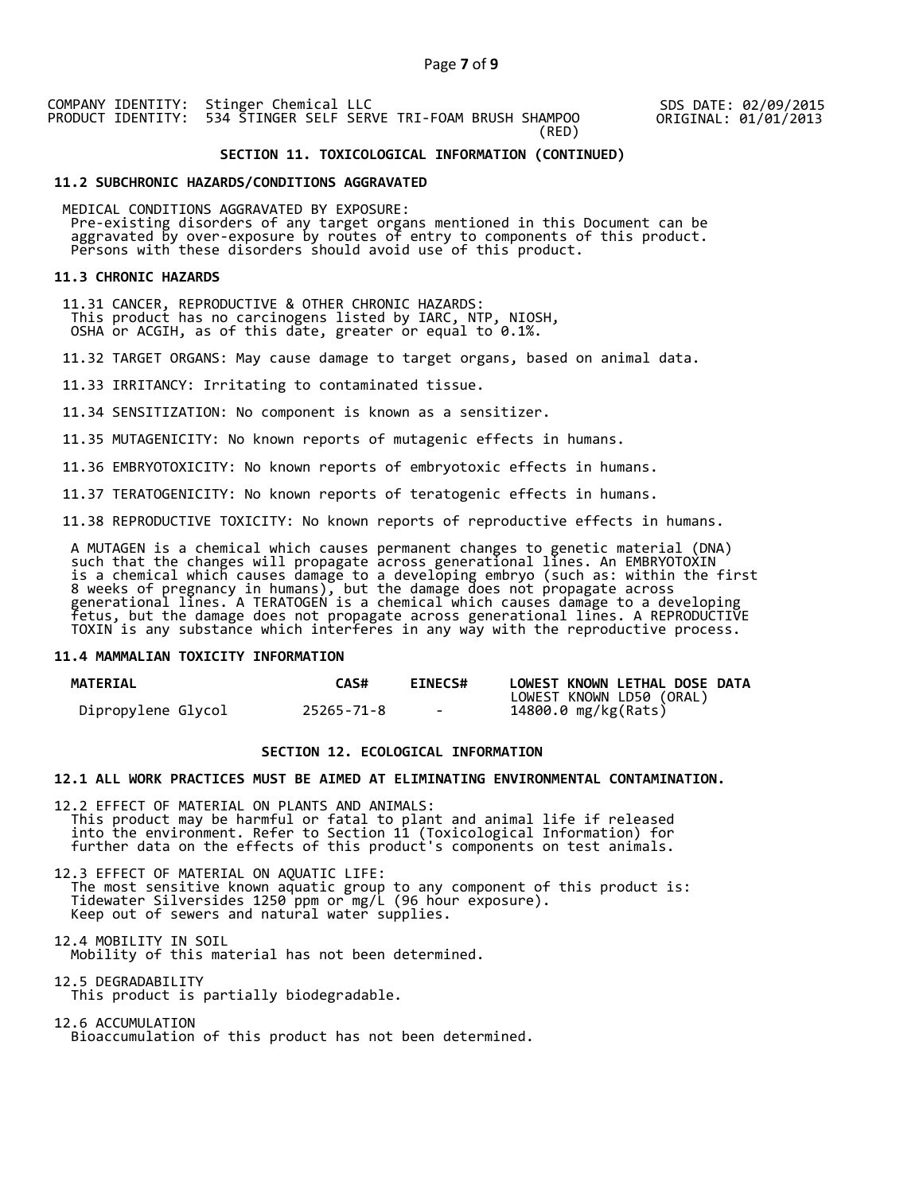SDS DATE: 02/09/2015 ORIGINAL: 01/01/2013

## **SECTION 11. TOXICOLOGICAL INFORMATION (CONTINUED)**

#### **11.2 SUBCHRONIC HAZARDS/CONDITIONS AGGRAVATED**

 MEDICAL CONDITIONS AGGRAVATED BY EXPOSURE: Pre-existing disorders of any target organs mentioned in this Document can be aggravated by over-exposure by routes of entry to components of this product. Persons with these disorders should avoid use of this product.

#### **11.3 CHRONIC HAZARDS**

 11.31 CANCER, REPRODUCTIVE & OTHER CHRONIC HAZARDS: This product has no carcinogens listed by IARC, NTP, NIOSH, OSHA or ACGIH, as of this date, greater or equal to 0.1%.

11.32 TARGET ORGANS: May cause damage to target organs, based on animal data.

11.33 IRRITANCY: Irritating to contaminated tissue.

11.34 SENSITIZATION: No component is known as a sensitizer.

11.35 MUTAGENICITY: No known reports of mutagenic effects in humans.

11.36 EMBRYOTOXICITY: No known reports of embryotoxic effects in humans.

11.37 TERATOGENICITY: No known reports of teratogenic effects in humans.

11.38 REPRODUCTIVE TOXICITY: No known reports of reproductive effects in humans.

 A MUTAGEN is a chemical which causes permanent changes to genetic material (DNA) such that the changes will propagate across generational lines. An EMBRYOTOXIN is a chemical which causes damage to a developing embryo (such as: within the first 8 weeks of pregnancy in humans), but the damage does not propagate across generational lines. A TERATOGEN is a chemical which causes damage to a developing fetus, but the damage does not propagate across generational lines. A REPRODUCTIVE TOXIN is any substance which interferes in any way with the reproductive process.

#### **11.4 MAMMALIAN TOXICITY INFORMATION**

| <b>MATERIAL</b>    | <b>CAS#</b> | <b>EINECS#</b> | LOWEST KNOWN LETHAL DOSE DATA |
|--------------------|-------------|----------------|-------------------------------|
|                    |             |                | LOWEST KNOWN LD50 (ORAL)      |
| Dipropylene Glycol | 25265-71-8  | $\sim$         | 14800.0 mg/kg(Rats)           |

# **SECTION 12. ECOLOGICAL INFORMATION**

### **12.1 ALL WORK PRACTICES MUST BE AIMED AT ELIMINATING ENVIRONMENTAL CONTAMINATION.**

12.2 EFFECT OF MATERIAL ON PLANTS AND ANIMALS: This product may be harmful or fatal to plant and animal life if released into the environment. Refer to Section 11 (Toxicological Information) for further data on the effects of this product's components on test animals.

12.3 EFFECT OF MATERIAL ON AQUATIC LIFE: The most sensitive known aquatic group to any component of this product is: Tidewater Silversides 1250 ppm or mg/L (96 hour exposure). Keep out of sewers and natural water supplies.

12.4 MOBILITY IN SOIL Mobility of this material has not been determined.

12.5 DEGRADABILITY This product is partially biodegradable.

12.6 ACCUMULATION Bioaccumulation of this product has not been determined.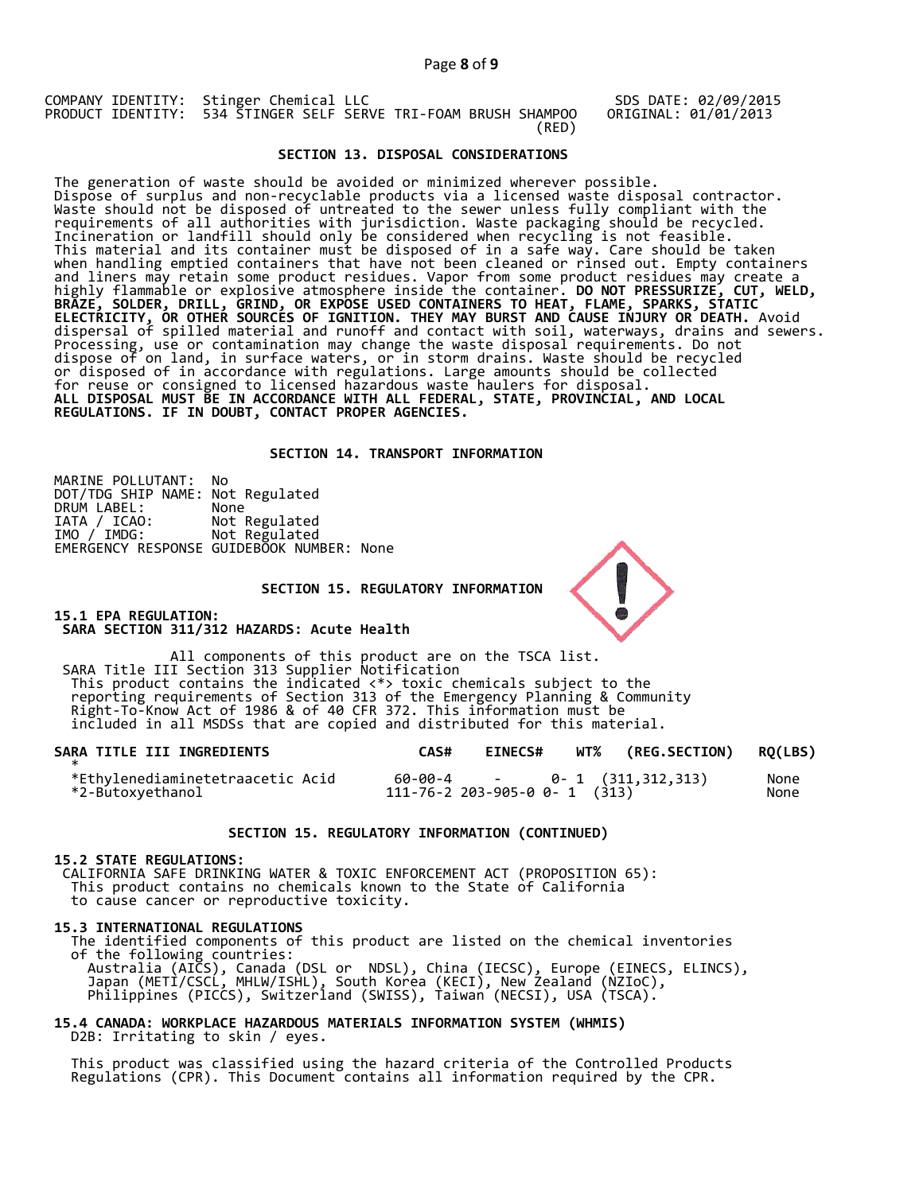SDS DATE: 02/09/2015 ORIGINAL: 01/01/2013

## **SECTION 13. DISPOSAL CONSIDERATIONS**

The generation of waste should be avoided or minimized wherever possible. Dispose of surplus and non-recyclable products via a licensed waste disposal contractor. Waste should not be disposed of untreated to the sewer unless fully compliant with the requirements of all authorities with jurisdiction. Waste packaging should be recycled. Incineration or landfill should only be considered when recycling is not feasible. This material and its container must be disposed of in a safe way. Care should be taken when handling emptied containers that have not been cleaned or rinsed out. Empty containers and liners may retain some product residues. Vapor from some product residues may create a highly flammable or explosive atmosphere inside the container. **DO NOT PRESSURIZE, CUT, WELD, BRAZE, SOLDER, DRILL, GRIND, OR EXPOSE USED CONTAINERS TO HEAT, FLAME, SPARKS, STATIC ELECTRICITY, OR OTHER SOURCES OF IGNITION. THEY MAY BURST AND CAUSE INJURY OR DEATH.** Avoid dispersal of spilled material and runoff and contact with soil, waterways, drains and sewers. Processing, use or contamination may change the waste disposal requirements. Do not dispose of on land, in surface waters, or in storm drains. Waste should be recycled or disposed of in accordance with regulations. Large amounts should be collected for reuse or consigned to licensed hazardous waste haulers for disposal. **ALL DISPOSAL MUST BE IN ACCORDANCE WITH ALL FEDERAL, STATE, PROVINCIAL, AND LOCAL REGULATIONS. IF IN DOUBT, CONTACT PROPER AGENCIES.** 

#### **SECTION 14. TRANSPORT INFORMATION**

MARINE POLLUTANT: No DOT/TDG SHIP NAME: Not Regulated DRUM LABEL:<br>IATA / ICAO:<br>IMO / IMDG: Not Regulated Not Regulated EMERGENCY RESPONSE GUIDEBOOK NUMBER: None

#### **SECTION 15. REGULATORY INFORMATION**

**15.1 EPA REGULATION: SARA SECTION 311/312 HAZARDS: Acute Health** 

All components of this product are on the TSCA list. SARA Title III Section 313 Supplier Notification This product contains the indicated <\*> toxic chemicals subject to the reporting requirements of Section 313 of the Emergency Planning & Community Right-To-Know Act of 1986 & of 40 CFR 372. This information must be included in all MSDSs that are copied and distributed for this material.

| SARA TITLE III INGREDIENTS                           | CAS# | <b>EINECS#</b> | WT% (REG.SECTION) RQ(LBS)                                           |              |
|------------------------------------------------------|------|----------------|---------------------------------------------------------------------|--------------|
| *Ethylenediaminetetraacetic Acid<br>*2-Butoxyethanol |      |                | $60-00-4$ - 0- 1 $(311,312,313)$<br>111-76-2 203-905-0 0- 1 $(313)$ | None<br>None |

#### **SECTION 15. REGULATORY INFORMATION (CONTINUED)**

#### **15.2 STATE REGULATIONS:**

 CALIFORNIA SAFE DRINKING WATER & TOXIC ENFORCEMENT ACT (PROPOSITION 65): This product contains no chemicals known to the State of California to cause cancer or reproductive toxicity.

#### **15.3 INTERNATIONAL REGULATIONS**

 The identified components of this product are listed on the chemical inventories of the following countries: Australia (AICS), Canada (DSL or NDSL), China (IECSC), Europe (EINECS, ELINCS), Japan (METI/CSCL, MHLW/ISHL), South Korea (KECI), New Zealand (NZIoC), Philippines (PICCS), Switzerland (SWISS), Taiwan (NECSI), USA (TSCA).

# **15.4 CANADA: WORKPLACE HAZARDOUS MATERIALS INFORMATION SYSTEM (WHMIS)**  D2B: Irritating to skin / eyes.

 This product was classified using the hazard criteria of the Controlled Products Regulations (CPR). This Document contains all information required by the CPR.